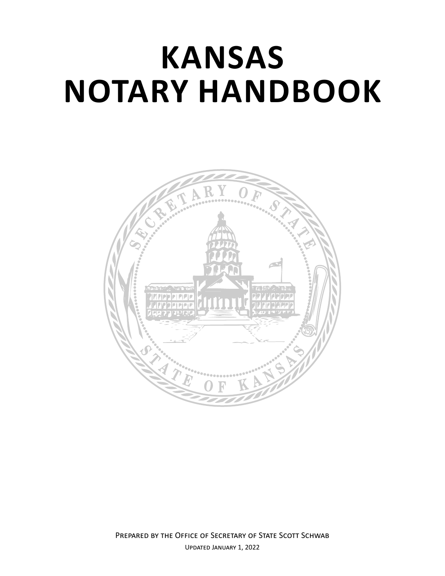# **KANSAS NOTARY HANDBOOK**

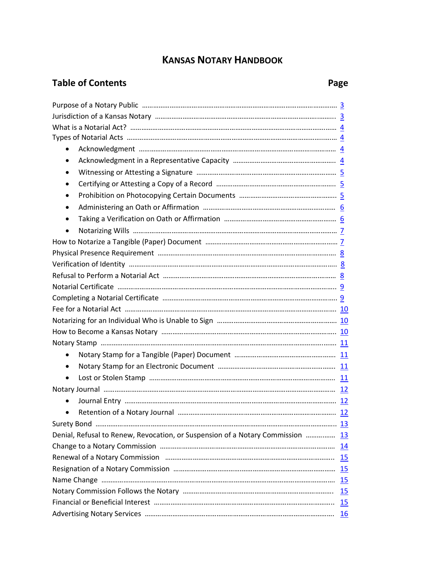## **KANSAS NOTARY HANDBOOK**

# **Table of Contents Page 2018**

| Purpose of a Notary Public manufacture manufacture manufacture manufacture 3   |  |
|--------------------------------------------------------------------------------|--|
|                                                                                |  |
|                                                                                |  |
|                                                                                |  |
|                                                                                |  |
| ٠                                                                              |  |
|                                                                                |  |
|                                                                                |  |
| ٠                                                                              |  |
| ٠                                                                              |  |
|                                                                                |  |
| $\bullet$                                                                      |  |
|                                                                                |  |
|                                                                                |  |
|                                                                                |  |
|                                                                                |  |
|                                                                                |  |
|                                                                                |  |
|                                                                                |  |
|                                                                                |  |
|                                                                                |  |
|                                                                                |  |
| $\bullet$                                                                      |  |
|                                                                                |  |
| ٠                                                                              |  |
|                                                                                |  |
| $\bullet$                                                                      |  |
|                                                                                |  |
|                                                                                |  |
| Denial, Refusal to Renew, Revocation, or Suspension of a Notary Commission  13 |  |
|                                                                                |  |
|                                                                                |  |
|                                                                                |  |
|                                                                                |  |
|                                                                                |  |
|                                                                                |  |
|                                                                                |  |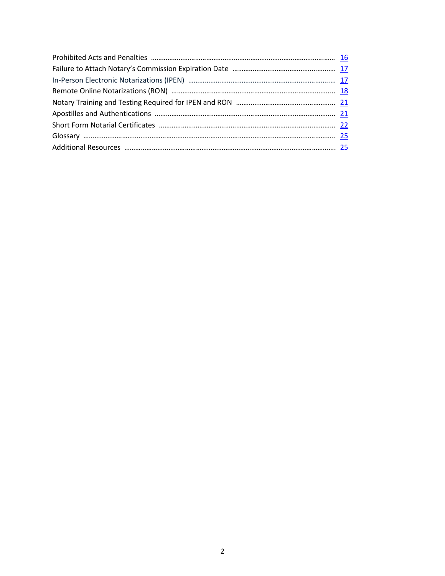<span id="page-2-0"></span>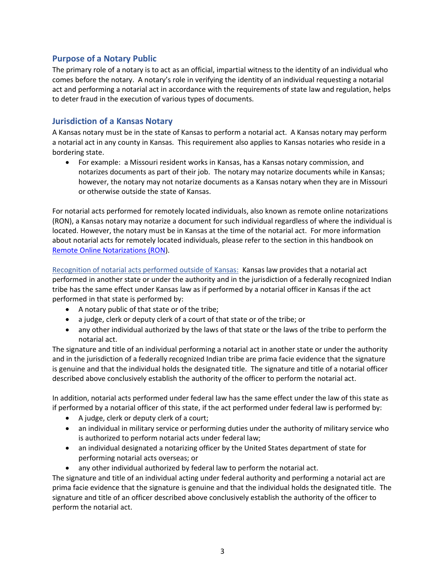#### **Purpose of a Notary Public**

The primary role of a notary is to act as an official, impartial witness to the identity of an individual who comes before the notary. A notary's role in verifying the identity of an individual requesting a notarial act and performing a notarial act in accordance with the requirements of state law and regulation, helps to deter fraud in the execution of various types of documents.

#### <span id="page-3-0"></span>**Jurisdiction of a Kansas Notary**

A Kansas notary must be in the state of Kansas to perform a notarial act. A Kansas notary may perform a notarial act in any county in Kansas. This requirement also applies to Kansas notaries who reside in a bordering state.

• For example: a Missouri resident works in Kansas, has a Kansas notary commission, and notarizes documents as part of their job. The notary may notarize documents while in Kansas; however, the notary may not notarize documents as a Kansas notary when they are in Missouri or otherwise outside the state of Kansas.

For notarial acts performed for remotely located individuals, also known as remote online notarizations (RON), a Kansas notary may notarize a document for such individual regardless of where the individual is located. However, the notary must be in Kansas at the time of the notarial act. For more information about notarial acts for remotely located individuals, please refer to the section in this handbook on [Remote Online Notarizations \(RON\)](#page-18-0).

Recognition of notarial acts performed outside of Kansas: Kansas law provides that a notarial act performed in another state or under the authority and in the jurisdiction of a federally recognized Indian tribe has the same effect under Kansas law as if performed by a notarial officer in Kansas if the act performed in that state is performed by:

- A notary public of that state or of the tribe;
- a judge, clerk or deputy clerk of a court of that state or of the tribe; or
- any other individual authorized by the laws of that state or the laws of the tribe to perform the notarial act.

The signature and title of an individual performing a notarial act in another state or under the authority and in the jurisdiction of a federally recognized Indian tribe are prima facie evidence that the signature is genuine and that the individual holds the designated title. The signature and title of a notarial officer described above conclusively establish the authority of the officer to perform the notarial act.

In addition, notarial acts performed under federal law has the same effect under the law of this state as if performed by a notarial officer of this state, if the act performed under federal law is performed by:

- A judge, clerk or deputy clerk of a court;
- an individual in military service or performing duties under the authority of military service who is authorized to perform notarial acts under federal law;
- an individual designated a notarizing officer by the United States department of state for performing notarial acts overseas; or
- any other individual authorized by federal law to perform the notarial act.

The signature and title of an individual acting under federal authority and performing a notarial act are prima facie evidence that the signature is genuine and that the individual holds the designated title. The signature and title of an officer described above conclusively establish the authority of the officer to perform the notarial act.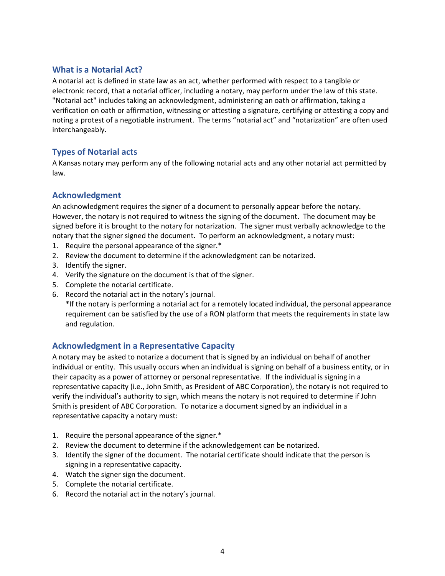#### <span id="page-4-0"></span>**What is a Notarial Act?**

A notarial act is defined in state law as an act, whether performed with respect to a tangible or electronic record, that a notarial officer, including a notary, may perform under the law of this state. "Notarial act" includes taking an acknowledgment, administering an oath or affirmation, taking a verification on oath or affirmation, witnessing or attesting a signature, certifying or attesting a copy and noting a protest of a negotiable instrument. The terms "notarial act" and "notarization" are often used interchangeably.

#### <span id="page-4-1"></span>**Types of Notarial acts**

A Kansas notary may perform any of the following notarial acts and any other notarial act permitted by law.

#### <span id="page-4-2"></span>**Acknowledgment**

An acknowledgment requires the signer of a document to personally appear before the notary. However, the notary is not required to witness the signing of the document. The document may be signed before it is brought to the notary for notarization. The signer must verbally acknowledge to the notary that the signer signed the document. To perform an acknowledgment, a notary must:

- 1. Require the personal appearance of the signer.\*
- 2. Review the document to determine if the acknowledgment can be notarized.
- 3. Identify the signer.
- 4. Verify the signature on the document is that of the signer.
- 5. Complete the notarial certificate.
- 6. Record the notarial act in the notary's journal.

\*If the notary is performing a notarial act for a remotely located individual, the personal appearance requirement can be satisfied by the use of a RON platform that meets the requirements in state law and regulation.

#### <span id="page-4-3"></span>**Acknowledgment in a Representative Capacity**

A notary may be asked to notarize a document that is signed by an individual on behalf of another individual or entity. This usually occurs when an individual is signing on behalf of a business entity, or in their capacity as a power of attorney or personal representative. If the individual is signing in a representative capacity (i.e., John Smith, as President of ABC Corporation), the notary is not required to verify the individual's authority to sign, which means the notary is not required to determine if John Smith is president of ABC Corporation. To notarize a document signed by an individual in a representative capacity a notary must:

- 1. Require the personal appearance of the signer.\*
- 2. Review the document to determine if the acknowledgement can be notarized.
- 3. Identify the signer of the document. The notarial certificate should indicate that the person is signing in a representative capacity.
- 4. Watch the signer sign the document.
- 5. Complete the notarial certificate.
- 6. Record the notarial act in the notary's journal.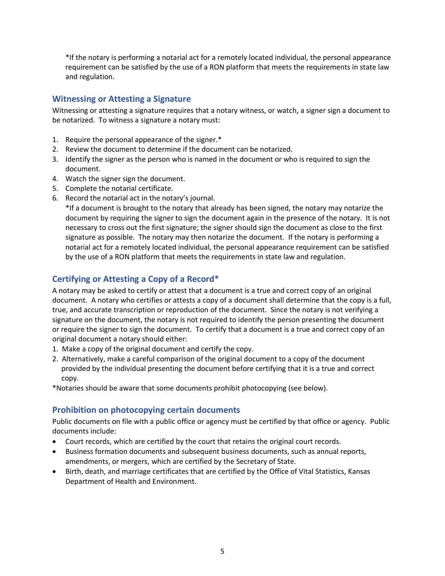\*If the notary is performing a notarial act for a remotely located individual, the personal appearance requirement can be satisfied by the use of a RON platform that meets the requirements in state law and regulation.

#### <span id="page-5-0"></span>**Witnessing or Attesting a Signature**

Witnessing or attesting a signature requires that a notary witness, or watch, a signer sign a document to be notarized. To witness a signature a notary must:

- 1. Require the personal appearance of the signer.\*
- 2. Review the document to determine if the document can be notarized.
- 3. Identify the signer as the person who is named in the document or who is required to sign the document.
- 4. Watch the signer sign the document.
- 5. Complete the notarial certificate.
- 6. Record the notarial act in the notary's journal.

\*If a document is brought to the notary that already has been signed, the notary may notarize the document by requiring the signer to sign the document again in the presence of the notary. It is not necessary to cross out the first signature; the signer should sign the document as close to the first signature as possible. The notary may then notarize the document. If the notary is performing a notarial act for a remotely located individual, the personal appearance requirement can be satisfied by the use of a RON platform that meets the requirements in state law and regulation.

#### <span id="page-5-1"></span>**Certifying or Attesting a Copy of a Record\***

A notary may be asked to certify or attest that a document is a true and correct copy of an original document. A notary who certifies or attests a copy of a document shall determine that the copy is a full, true, and accurate transcription or reproduction of the document. Since the notary is not verifying a signature on the document, the notary is not required to identify the person presenting the document or require the signer to sign the document. To certify that a document is a true and correct copy of an original document a notary should either:

- 1. Make a copy of the original document and certify the copy.
- 2. Alternatively, make a careful comparison of the original document to a copy of the document provided by the individual presenting the document before certifying that it is a true and correct copy.

\*Notaries should be aware that some documents prohibit photocopying (see below).

#### <span id="page-5-2"></span>**Prohibition on photocopying certain documents**

Public documents on file with a public office or agency must be certified by that office or agency. Public documents include:

- Court records, which are certified by the court that retains the original court records.
- Business formation documents and subsequent business documents, such as annual reports, amendments, or mergers, which are certified by the Secretary of State.
- Birth, death, and marriage certificates that are certified by the Office of Vital Statistics, Kansas Department of Health and Environment.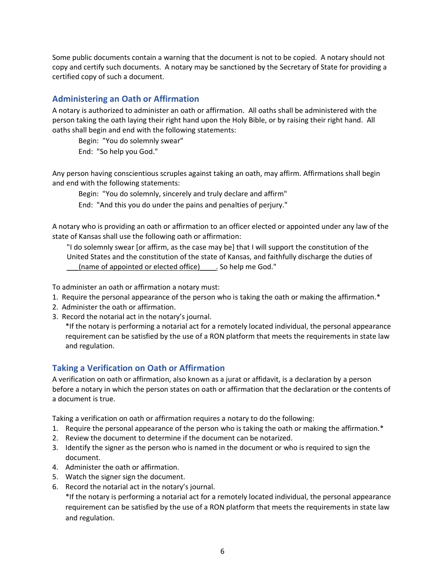Some public documents contain a warning that the document is not to be copied. A notary should not copy and certify such documents. A notary may be sanctioned by the Secretary of State for providing a certified copy of such a document.

### <span id="page-6-0"></span>**Administering an Oath or Affirmation**

A notary is authorized to administer an oath or affirmation. All oaths shall be administered with the person taking the oath laying their right hand upon the Holy Bible, or by raising their right hand. All oaths shall begin and end with the following statements:

Begin: "You do solemnly swear"

End: "So help you God."

Any person having conscientious scruples against taking an oath, may affirm. Affirmations shall begin and end with the following statements:

Begin: "You do solemnly, sincerely and truly declare and affirm"

End: "And this you do under the pains and penalties of perjury."

A notary who is providing an oath or affirmation to an officer elected or appointed under any law of the state of Kansas shall use the following oath or affirmation:

"I do solemnly swear [or affirm, as the case may be] that I will support the constitution of the United States and the constitution of the state of Kansas, and faithfully discharge the duties of \_\_\_(name of appointed or elected office)\_\_\_\_. So help me God."

To administer an oath or affirmation a notary must:

- 1. Require the personal appearance of the person who is taking the oath or making the affirmation.\*
- 2. Administer the oath or affirmation.
- 3. Record the notarial act in the notary's journal.

\*If the notary is performing a notarial act for a remotely located individual, the personal appearance requirement can be satisfied by the use of a RON platform that meets the requirements in state law and regulation.

#### <span id="page-6-1"></span>**Taking a Verification on Oath or Affirmation**

A verification on oath or affirmation, also known as a jurat or affidavit, is a declaration by a person before a notary in which the person states on oath or affirmation that the declaration or the contents of a document is true.

Taking a verification on oath or affirmation requires a notary to do the following:

- 1. Require the personal appearance of the person who is taking the oath or making the affirmation.\*
- 2. Review the document to determine if the document can be notarized.
- 3. Identify the signer as the person who is named in the document or who is required to sign the document.
- 4. Administer the oath or affirmation.
- 5. Watch the signer sign the document.
- 6. Record the notarial act in the notary's journal.

\*If the notary is performing a notarial act for a remotely located individual, the personal appearance requirement can be satisfied by the use of a RON platform that meets the requirements in state law and regulation.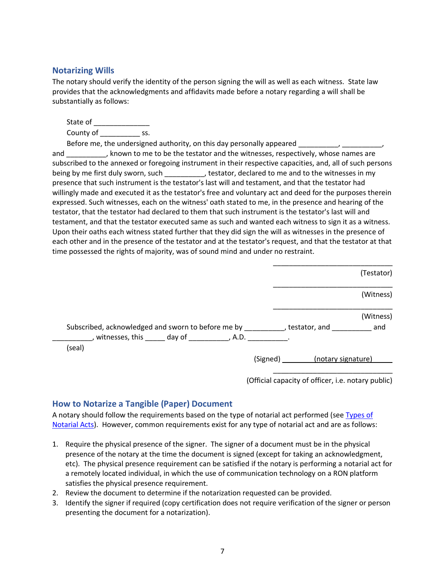#### <span id="page-7-0"></span>**Notarizing Wills**

The notary should verify the identity of the person signing the will as well as each witness. State law provides that the acknowledgments and affidavits made before a notary regarding a will shall be substantially as follows:

State of \_\_\_\_\_\_\_\_\_\_\_\_\_\_ County of The State State State State State State State State State State State State State State State State

Before me, the undersigned authority, on this day personally appeared \_\_\_\_\_\_\_\_\_, \_\_\_\_\_

and \_\_\_\_\_\_\_\_\_\_, known to me to be the testator and the witnesses, respectively, whose names are subscribed to the annexed or foregoing instrument in their respective capacities, and, all of such persons being by me first duly sworn, such \_\_\_\_\_\_\_\_\_\_, testator, declared to me and to the witnesses in my presence that such instrument is the testator's last will and testament, and that the testator had willingly made and executed it as the testator's free and voluntary act and deed for the purposes therein expressed. Such witnesses, each on the witness' oath stated to me, in the presence and hearing of the testator, that the testator had declared to them that such instrument is the testator's last will and testament, and that the testator executed same as such and wanted each witness to sign it as a witness. Upon their oaths each witness stated further that they did sign the will as witnesses in the presence of each other and in the presence of the testator and at the testator's request, and that the testator at that time possessed the rights of majority, was of sound mind and under no restraint.

|                                                                                                                                                                          | (Testator)                  |
|--------------------------------------------------------------------------------------------------------------------------------------------------------------------------|-----------------------------|
|                                                                                                                                                                          | (Witness)                   |
| Subscribed, acknowledged and sworn to before me by ___________, testator, and _____________ and<br>$\Box$ , witnesses, this ______ day of ___________, A.D. ___________. | (Witness)                   |
| (seal)                                                                                                                                                                   | (Signed) (notary signature) |
|                                                                                                                                                                          |                             |

(Official capacity of officer, i.e. notary public)

#### <span id="page-7-1"></span>**How to Notarize a Tangible (Paper) Document**

A notary should follow the requirements based on the type of notarial act performed (see [Types of](#page-4-1)  [Notarial Acts\)](#page-4-1). However, common requirements exist for any type of notarial act and are as follows:

- 1. Require the physical presence of the signer. The signer of a document must be in the physical presence of the notary at the time the document is signed (except for taking an acknowledgment, etc). The physical presence requirement can be satisfied if the notary is performing a notarial act for a remotely located individual, in which the use of communication technology on a RON platform satisfies the physical presence requirement.
- 2. Review the document to determine if the notarization requested can be provided.
- 3. Identify the signer if required (copy certification does not require verification of the signer or person presenting the document for a notarization).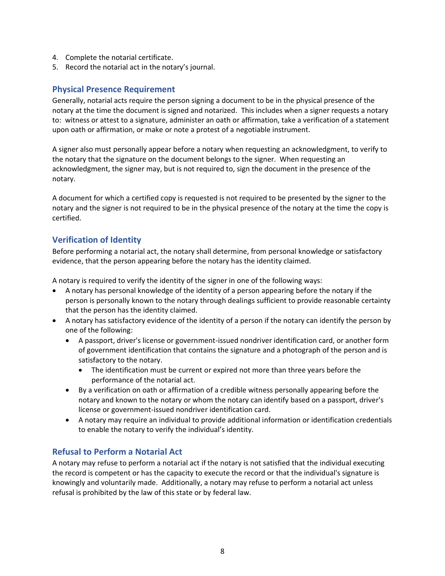- 4. Complete the notarial certificate.
- 5. Record the notarial act in the notary's journal.

#### <span id="page-8-0"></span>**Physical Presence Requirement**

Generally, notarial acts require the person signing a document to be in the physical presence of the notary at the time the document is signed and notarized. This includes when a signer requests a notary to: witness or attest to a signature, administer an oath or affirmation, take a verification of a statement upon oath or affirmation, or make or note a protest of a negotiable instrument.

A signer also must personally appear before a notary when requesting an acknowledgment, to verify to the notary that the signature on the document belongs to the signer. When requesting an acknowledgment, the signer may, but is not required to, sign the document in the presence of the notary.

A document for which a certified copy is requested is not required to be presented by the signer to the notary and the signer is not required to be in the physical presence of the notary at the time the copy is certified.

#### <span id="page-8-1"></span>**Verification of Identity**

Before performing a notarial act, the notary shall determine, from personal knowledge or satisfactory evidence, that the person appearing before the notary has the identity claimed.

A notary is required to verify the identity of the signer in one of the following ways:

- A notary has personal knowledge of the identity of a person appearing before the notary if the person is personally known to the notary through dealings sufficient to provide reasonable certainty that the person has the identity claimed.
- A notary has satisfactory evidence of the identity of a person if the notary can identify the person by one of the following:
	- A passport, driver's license or government-issued nondriver identification card, or another form of government identification that contains the signature and a photograph of the person and is satisfactory to the notary.
		- The identification must be current or expired not more than three years before the performance of the notarial act.
	- By a verification on oath or affirmation of a credible witness personally appearing before the notary and known to the notary or whom the notary can identify based on a passport, driver's license or government-issued nondriver identification card.
	- A notary may require an individual to provide additional information or identification credentials to enable the notary to verify the individual's identity.

#### <span id="page-8-2"></span>**Refusal to Perform a Notarial Act**

A notary may refuse to perform a notarial act if the notary is not satisfied that the individual executing the record is competent or has the capacity to execute the record or that the individual's signature is knowingly and voluntarily made. Additionally, a notary may refuse to perform a notarial act unless refusal is prohibited by the law of this state or by federal law.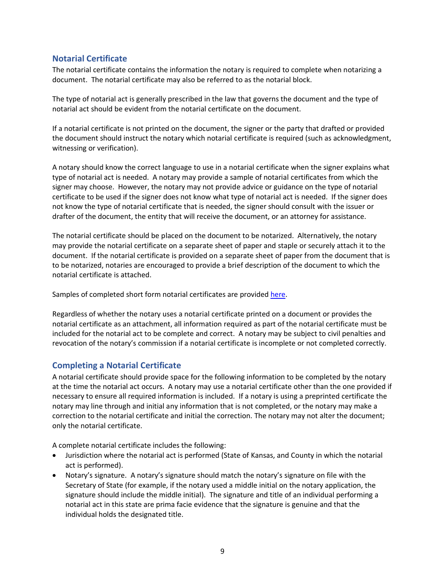#### <span id="page-9-0"></span>**Notarial Certificate**

The notarial certificate contains the information the notary is required to complete when notarizing a document. The notarial certificate may also be referred to as the notarial block.

The type of notarial act is generally prescribed in the law that governs the document and the type of notarial act should be evident from the notarial certificate on the document.

If a notarial certificate is not printed on the document, the signer or the party that drafted or provided the document should instruct the notary which notarial certificate is required (such as acknowledgment, witnessing or verification).

A notary should know the correct language to use in a notarial certificate when the signer explains what type of notarial act is needed. A notary may provide a sample of notarial certificates from which the signer may choose. However, the notary may not provide advice or guidance on the type of notarial certificate to be used if the signer does not know what type of notarial act is needed. If the signer does not know the type of notarial certificate that is needed, the signer should consult with the issuer or drafter of the document, the entity that will receive the document, or an attorney for assistance.

The notarial certificate should be placed on the document to be notarized. Alternatively, the notary may provide the notarial certificate on a separate sheet of paper and staple or securely attach it to the document. If the notarial certificate is provided on a separate sheet of paper from the document that is to be notarized, notaries are encouraged to provide a brief description of the document to which the notarial certificate is attached.

Samples of completed short form notarial certificates are provided [here.](#page-22-0)

Regardless of whether the notary uses a notarial certificate printed on a document or provides the notarial certificate as an attachment, all information required as part of the notarial certificate must be included for the notarial act to be complete and correct. A notary may be subject to civil penalties and revocation of the notary's commission if a notarial certificate is incomplete or not completed correctly.

#### <span id="page-9-1"></span>**Completing a Notarial Certificate**

A notarial certificate should provide space for the following information to be completed by the notary at the time the notarial act occurs. A notary may use a notarial certificate other than the one provided if necessary to ensure all required information is included. If a notary is using a preprinted certificate the notary may line through and initial any information that is not completed, or the notary may make a correction to the notarial certificate and initial the correction. The notary may not alter the document; only the notarial certificate.

A complete notarial certificate includes the following:

- Jurisdiction where the notarial act is performed (State of Kansas, and County in which the notarial act is performed).
- Notary's signature. A notary's signature should match the notary's signature on file with the Secretary of State (for example, if the notary used a middle initial on the notary application, the signature should include the middle initial). The signature and title of an individual performing a notarial act in this state are prima facie evidence that the signature is genuine and that the individual holds the designated title.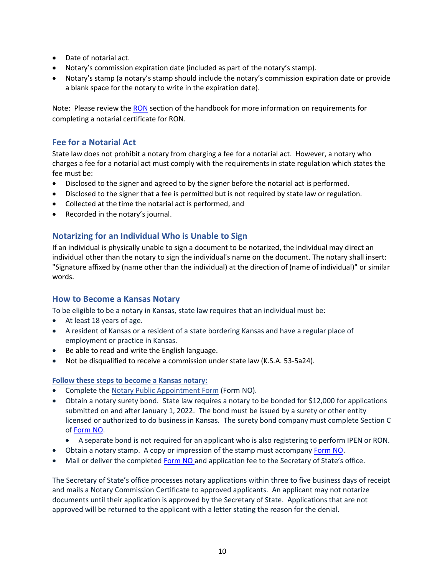- Date of notarial act.
- Notary's commission expiration date (included as part of the notary's stamp).
- Notary's stamp (a notary's stamp should include the notary's commission expiration date or provide a blank space for the notary to write in the expiration date).

Note: Please review the [RON](#page-18-0) section of the handbook for more information on requirements for completing a notarial certificate for RON.

#### <span id="page-10-0"></span>**Fee for a Notarial Act**

State law does not prohibit a notary from charging a fee for a notarial act. However, a notary who charges a fee for a notarial act must comply with the requirements in state regulation which states the fee must be:

- Disclosed to the signer and agreed to by the signer before the notarial act is performed.
- Disclosed to the signer that a fee is permitted but is not required by state law or regulation.
- Collected at the time the notarial act is performed, and
- Recorded in the notary's journal.

#### <span id="page-10-1"></span>**Notarizing for an Individual Who is Unable to Sign**

If an individual is physically unable to sign a document to be notarized, the individual may direct an individual other than the notary to sign the individual's name on the document. The notary shall insert: "Signature affixed by (name other than the individual) at the direction of (name of individual)" or similar words.

#### <span id="page-10-2"></span>**How to Become a Kansas Notary**

To be eligible to be a notary in Kansas, state law requires that an individual must be:

- At least 18 years of age.
- A resident of Kansas or a resident of a state bordering Kansas and have a regular place of employment or practice in Kansas.
- Be able to read and write the English language.
- Not be disqualified to receive a commission under state law (K.S.A. 53-5a24).

#### **Follow these steps to become a Kansas notary:**

- Complete th[e Notary Public Appointment Form](https://sos.ks.gov/forms/Administration/NO.pdf) (Form NO).
- Obtain a notary surety bond. State law requires a notary to be bonded for \$12,000 for applications submitted on and after January 1, 2022. The bond must be issued by a surety or other entity licensed or authorized to do business in Kansas. The surety bond company must complete Section C of [Form NO.](https://sos.ks.gov/business/NO-2022.pdf)
	- A separate bond is not required for an applicant who is also registering to perform IPEN or RON.
- Obtain a notary stamp. A copy or impression of the stamp must accompany [Form NO.](https://sos.ks.gov/business/NO-2022.pdf)
- Mail or deliver the completed [Form NO](https://sos.ks.gov/business/NO-2022.pdf) and application fee to the Secretary of State's office.

The Secretary of State's office processes notary applications within three to five business days of receipt and mails a Notary Commission Certificate to approved applicants. An applicant may not notarize documents until their application is approved by the Secretary of State. Applications that are not approved will be returned to the applicant with a letter stating the reason for the denial.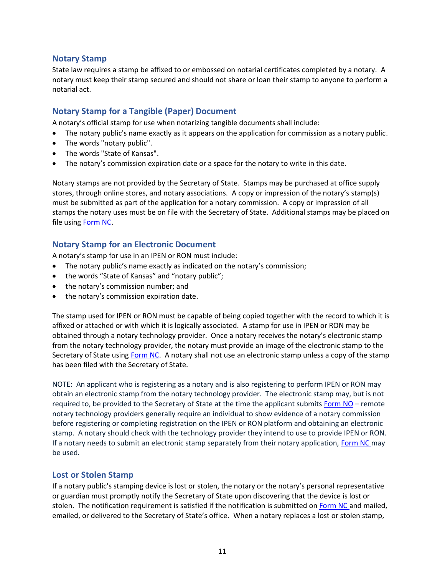#### <span id="page-11-0"></span>**Notary Stamp**

State law requires a stamp be affixed to or embossed on notarial certificates completed by a notary. A notary must keep their stamp secured and should not share or loan their stamp to anyone to perform a notarial act.

#### <span id="page-11-1"></span>**Notary Stamp for a Tangible (Paper) Document**

A notary's official stamp for use when notarizing tangible documents shall include:

- The notary public's name exactly as it appears on the application for commission as a notary public.
- The words "notary public".
- The words "State of Kansas".
- The notary's commission expiration date or a space for the notary to write in this date.

Notary stamps are not provided by the Secretary of State. Stamps may be purchased at office supply stores, through online stores, and notary associations. A copy or impression of the notary's stamp(s) must be submitted as part of the application for a notary commission. A copy or impression of all stamps the notary uses must be on file with the Secretary of State. Additional stamps may be placed on file using [Form NC.](https://sos.ks.gov/business/NC-2022.pdf)

#### <span id="page-11-2"></span>**Notary Stamp for an Electronic Document**

A notary's stamp for use in an IPEN or RON must include:

- The notary public's name exactly as indicated on the notary's commission;
- the words "State of Kansas" and "notary public";
- the notary's commission number; and
- the notary's commission expiration date.

The stamp used for IPEN or RON must be capable of being copied together with the record to which it is affixed or attached or with which it is logically associated. A stamp for use in IPEN or RON may be obtained through a notary technology provider. Once a notary receives the notary's electronic stamp from the notary technology provider, the notary must provide an image of the electronic stamp to the Secretary of State using [Form NC.](https://sos.ks.gov/business/NC-2022.pdf) A notary shall not use an electronic stamp unless a copy of the stamp has been filed with the Secretary of State.

NOTE: An applicant who is registering as a notary and is also registering to perform IPEN or RON may obtain an electronic stamp from the notary technology provider. The electronic stamp may, but is not required to, be provided to the Secretary of State at the time the applicant submits [Form NO](https://sos.ks.gov/business/NO-2022.pdf) – remote notary technology providers generally require an individual to show evidence of a notary commission before registering or completing registration on the IPEN or RON platform and obtaining an electronic stamp. A notary should check with the technology provider they intend to use to provide IPEN or RON. If a notary needs to submit an electronic stamp separately from their notary application, [Form NC](https://sos.ks.gov/business/NC-2022.pdf) may be used.

#### <span id="page-11-3"></span>**Lost or Stolen Stamp**

If a notary public's stamping device is lost or stolen, the notary or the notary's personal representative or guardian must promptly notify the Secretary of State upon discovering that the device is lost or stolen. The notification requirement is satisfied if the notification is submitted on [Form NC](https://sos.ks.gov/business/NC-2022.pdf) and mailed, emailed, or delivered to the Secretary of State's office. When a notary replaces a lost or stolen stamp,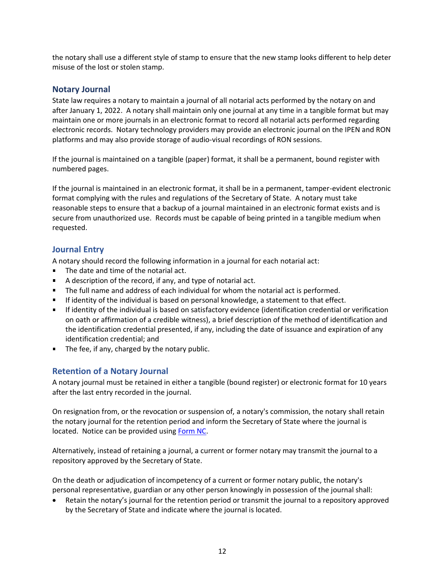the notary shall use a different style of stamp to ensure that the new stamp looks different to help deter misuse of the lost or stolen stamp.

#### <span id="page-12-0"></span>**Notary Journal**

State law requires a notary to maintain a journal of all notarial acts performed by the notary on and after January 1, 2022. A notary shall maintain only one journal at any time in a tangible format but may maintain one or more journals in an electronic format to record all notarial acts performed regarding electronic records. Notary technology providers may provide an electronic journal on the IPEN and RON platforms and may also provide storage of audio-visual recordings of RON sessions.

If the journal is maintained on a tangible (paper) format, it shall be a permanent, bound register with numbered pages.

If the journal is maintained in an electronic format, it shall be in a permanent, tamper-evident electronic format complying with the rules and regulations of the Secretary of State. A notary must take reasonable steps to ensure that a backup of a journal maintained in an electronic format exists and is secure from unauthorized use. Records must be capable of being printed in a tangible medium when requested.

#### <span id="page-12-1"></span>**Journal Entry**

A notary should record the following information in a journal for each notarial act:

- The date and time of the notarial act.
- A description of the record, if any, and type of notarial act.
- The full name and address of each individual for whom the notarial act is performed.
- If identity of the individual is based on personal knowledge, a statement to that effect.
- If identity of the individual is based on satisfactory evidence (identification credential or verification on oath or affirmation of a credible witness), a brief description of the method of identification and the identification credential presented, if any, including the date of issuance and expiration of any identification credential; and
- The fee, if any, charged by the notary public.

#### <span id="page-12-2"></span>**Retention of a Notary Journal**

A notary journal must be retained in either a tangible (bound register) or electronic format for 10 years after the last entry recorded in the journal.

On resignation from, or the revocation or suspension of, a notary's commission, the notary shall retain the notary journal for the retention period and inform the Secretary of State where the journal is located. Notice can be provided using [Form NC.](https://sos.ks.gov/business/NC-2022.pdf)

Alternatively, instead of retaining a journal, a current or former notary may transmit the journal to a repository approved by the Secretary of State.

On the death or adjudication of incompetency of a current or former notary public, the notary's personal representative, guardian or any other person knowingly in possession of the journal shall:

• Retain the notary's journal for the retention period or transmit the journal to a repository approved by the Secretary of State and indicate where the journal is located.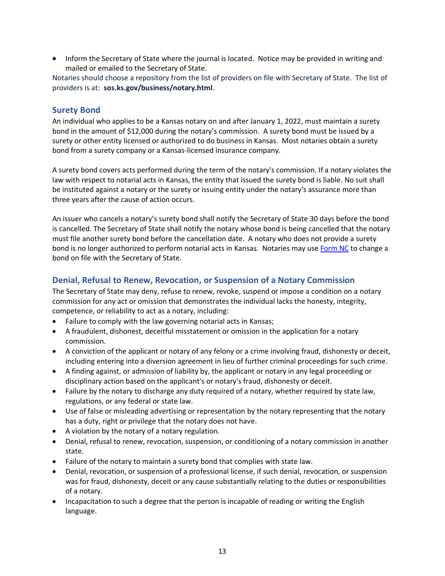• Inform the Secretary of State where the journal is located. Notice may be provided in writing and mailed or emailed to the Secretary of State.

Notaries should choose a repository from the list of providers on file with Secretary of State. The list of providers is at: **sos.ks.gov/business/notary.html**.

#### <span id="page-13-0"></span>**Surety Bond**

An individual who applies to be a Kansas notary on and after January 1, 2022, must maintain a surety bond in the amount of \$12,000 during the notary's commission. A surety bond must be issued by a surety or other entity licensed or authorized to do business in Kansas. Most notaries obtain a surety bond from a surety company or a Kansas-licensed insurance company.

A surety bond covers acts performed during the term of the notary's commission. If a notary violates the law with respect to notarial acts in Kansas, the entity that issued the surety bond is liable. No suit shall be instituted against a notary or the surety or issuing entity under the notary's assurance more than three years after the cause of action occurs.

An issuer who cancels a notary's surety bond shall notify the Secretary of State 30 days before the bond is cancelled. The Secretary of State shall notify the notary whose bond is being cancelled that the notary must file another surety bond before the cancellation date. A notary who does not provide a surety bond is no longer authorized to perform notarial acts in Kansas. Notaries may use [Form NC](https://sos.ks.gov/business/NC-2022.pdf) to change a bond on file with the Secretary of State.

#### <span id="page-13-1"></span>**Denial, Refusal to Renew, Revocation, or Suspension of a Notary Commission**

The Secretary of State may deny, refuse to renew, revoke, suspend or impose a condition on a notary commission for any act or omission that demonstrates the individual lacks the honesty, integrity, competence, or reliability to act as a notary, including:

- Failure to comply with the law governing notarial acts in Kansas;
- A fraudulent, dishonest, deceitful misstatement or omission in the application for a notary commission.
- A conviction of the applicant or notary of any felony or a crime involving fraud, dishonesty or deceit, including entering into a diversion agreement in lieu of further criminal proceedings for such crime.
- A finding against, or admission of liability by, the applicant or notary in any legal proceeding or disciplinary action based on the applicant's or notary's fraud, dishonesty or deceit.
- Failure by the notary to discharge any duty required of a notary, whether required by state law, regulations, or any federal or state law.
- Use of false or misleading advertising or representation by the notary representing that the notary has a duty, right or privilege that the notary does not have.
- A violation by the notary of a notary regulation.
- Denial, refusal to renew, revocation, suspension, or conditioning of a notary commission in another state.
- Failure of the notary to maintain a surety bond that complies with state law.
- Denial, revocation, or suspension of a professional license, if such denial, revocation, or suspension was for fraud, dishonesty, deceit or any cause substantially relating to the duties or responsibilities of a notary.
- Incapacitation to such a degree that the person is incapable of reading or writing the English language.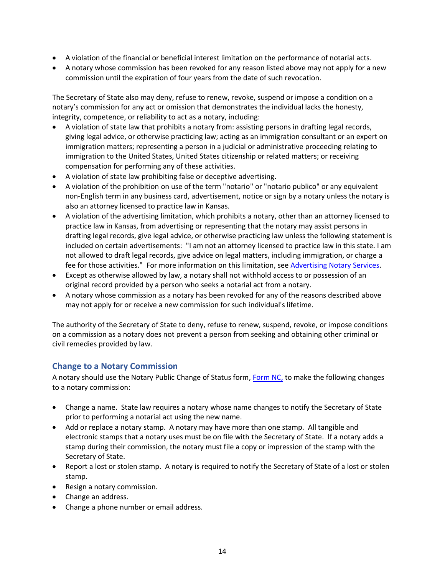- A violation of the financial or beneficial interest limitation on the performance of notarial acts.
- A notary whose commission has been revoked for any reason listed above may not apply for a new commission until the expiration of four years from the date of such revocation.

The Secretary of State also may deny, refuse to renew, revoke, suspend or impose a condition on a notary's commission for any act or omission that demonstrates the individual lacks the honesty, integrity, competence, or reliability to act as a notary, including:

- A violation of state law that prohibits a notary from: assisting persons in drafting legal records, giving legal advice, or otherwise practicing law; acting as an immigration consultant or an expert on immigration matters; representing a person in a judicial or administrative proceeding relating to immigration to the United States, United States citizenship or related matters; or receiving compensation for performing any of these activities.
- A violation of state law prohibiting false or deceptive advertising.
- A violation of the prohibition on use of the term "notario" or "notario publico" or any equivalent non-English term in any business card, advertisement, notice or sign by a notary unless the notary is also an attorney licensed to practice law in Kansas.
- A violation of the advertising limitation, which prohibits a notary, other than an attorney licensed to practice law in Kansas, from advertising or representing that the notary may assist persons in drafting legal records, give legal advice, or otherwise practicing law unless the following statement is included on certain advertisements: "I am not an attorney licensed to practice law in this state. I am not allowed to draft legal records, give advice on legal matters, including immigration, or charge a fee for those activities." For more information on this limitation, see [Advertising Notary Services.](#page-16-0)
- Except as otherwise allowed by law, a notary shall not withhold access to or possession of an original record provided by a person who seeks a notarial act from a notary.
- A notary whose commission as a notary has been revoked for any of the reasons described above may not apply for or receive a new commission for such individual's lifetime.

The authority of the Secretary of State to deny, refuse to renew, suspend, revoke, or impose conditions on a commission as a notary does not prevent a person from seeking and obtaining other criminal or civil remedies provided by law.

#### <span id="page-14-0"></span>**Change to a Notary Commission**

A notary should use the Notary Public Change of Status form, [Form NC,](https://sos.ks.gov/business/NC-2022.pdf) to make the following changes to a notary commission:

- Change a name. State law requires a notary whose name changes to notify the Secretary of State prior to performing a notarial act using the new name.
- Add or replace a notary stamp. A notary may have more than one stamp. All tangible and electronic stamps that a notary uses must be on file with the Secretary of State. If a notary adds a stamp during their commission, the notary must file a copy or impression of the stamp with the Secretary of State.
- Report a lost or stolen stamp. A notary is required to notify the Secretary of State of a lost or stolen stamp.
- Resign a notary commission.
- Change an address.
- Change a phone number or email address.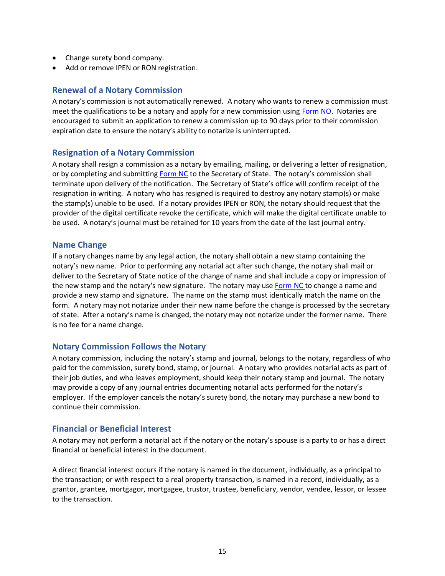- Change surety bond company.
- Add or remove IPEN or RON registration.

#### <span id="page-15-0"></span>**Renewal of a Notary Commission**

A notary's commission is not automatically renewed. A notary who wants to renew a commission must meet the qualifications to be a notary and apply for a new commission using [Form NO.](https://sos.ks.gov/business/NO-2022.pdf) Notaries are encouraged to submit an application to renew a commission up to 90 days prior to their commission expiration date to ensure the notary's ability to notarize is uninterrupted.

#### <span id="page-15-1"></span>**Resignation of a Notary Commission**

A notary shall resign a commission as a notary by emailing, mailing, or delivering a letter of resignation, or by completing and submitting [Form NC](https://sos.ks.gov/business/NC-2022.pdf) to the Secretary of State. The notary's commission shall terminate upon delivery of the notification. The Secretary of State's office will confirm receipt of the resignation in writing. A notary who has resigned is required to destroy any notary stamp(s) or make the stamp(s) unable to be used. If a notary provides IPEN or RON, the notary should request that the provider of the digital certificate revoke the certificate, which will make the digital certificate unable to be used. A notary's journal must be retained for 10 years from the date of the last journal entry.

#### <span id="page-15-2"></span>**Name Change**

If a notary changes name by any legal action, the notary shall obtain a new stamp containing the notary's new name. Prior to performing any notarial act after such change, the notary shall mail or deliver to the Secretary of State notice of the change of name and shall include a copy or impression of the new stamp and the notary's new signature. The notary may use [Form NC](https://sos.ks.gov/business/NC-2022.pdf) to change a name and provide a new stamp and signature. The name on the stamp must identically match the name on the form. A notary may not notarize under their new name before the change is processed by the secretary of state. After a notary's name is changed, the notary may not notarize under the former name. There is no fee for a name change.

#### <span id="page-15-3"></span>**Notary Commission Follows the Notary**

A notary commission, including the notary's stamp and journal, belongs to the notary, regardless of who paid for the commission, surety bond, stamp, or journal. A notary who provides notarial acts as part of their job duties, and who leaves employment, should keep their notary stamp and journal. The notary may provide a copy of any journal entries documenting notarial acts performed for the notary's employer. If the employer cancels the notary's surety bond, the notary may purchase a new bond to continue their commission.

#### <span id="page-15-4"></span>**Financial or Beneficial Interest**

A notary may not perform a notarial act if the notary or the notary's spouse is a party to or has a direct financial or beneficial interest in the document.

A direct financial interest occurs if the notary is named in the document, individually, as a principal to the transaction; or with respect to a real property transaction, is named in a record, individually, as a grantor, grantee, mortgagor, mortgagee, trustor, trustee, beneficiary, vendor, vendee, lessor, or lessee to the transaction.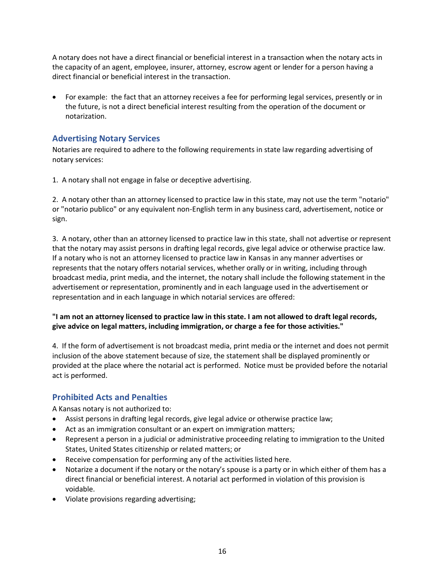A notary does not have a direct financial or beneficial interest in a transaction when the notary acts in the capacity of an agent, employee, insurer, attorney, escrow agent or lender for a person having a direct financial or beneficial interest in the transaction.

• For example: the fact that an attorney receives a fee for performing legal services, presently or in the future, is not a direct beneficial interest resulting from the operation of the document or notarization.

#### <span id="page-16-0"></span>**Advertising Notary Services**

Notaries are required to adhere to the following requirements in state law regarding advertising of notary services:

1. A notary shall not engage in false or deceptive advertising.

2. A notary other than an attorney licensed to practice law in this state, may not use the term "notario" or "notario publico" or any equivalent non-English term in any business card, advertisement, notice or sign.

3. A notary, other than an attorney licensed to practice law in this state, shall not advertise or represent that the notary may assist persons in drafting legal records, give legal advice or otherwise practice law. If a notary who is not an attorney licensed to practice law in Kansas in any manner advertises or represents that the notary offers notarial services, whether orally or in writing, including through broadcast media, print media, and the internet, the notary shall include the following statement in the advertisement or representation, prominently and in each language used in the advertisement or representation and in each language in which notarial services are offered:

#### **"I am not an attorney licensed to practice law in this state. I am not allowed to draft legal records, give advice on legal matters, including immigration, or charge a fee for those activities."**

4. If the form of advertisement is not broadcast media, print media or the internet and does not permit inclusion of the above statement because of size, the statement shall be displayed prominently or provided at the place where the notarial act is performed. Notice must be provided before the notarial act is performed.

#### <span id="page-16-1"></span>**Prohibited Acts and Penalties**

A Kansas notary is not authorized to:

- Assist persons in drafting legal records, give legal advice or otherwise practice law;
- Act as an immigration consultant or an expert on immigration matters;
- Represent a person in a judicial or administrative proceeding relating to immigration to the United States, United States citizenship or related matters; or
- Receive compensation for performing any of the activities listed here.
- Notarize a document if the notary or the notary's spouse is a party or in which either of them has a direct financial or beneficial interest. A notarial act performed in violation of this provision is voidable.
- Violate provisions regarding advertising;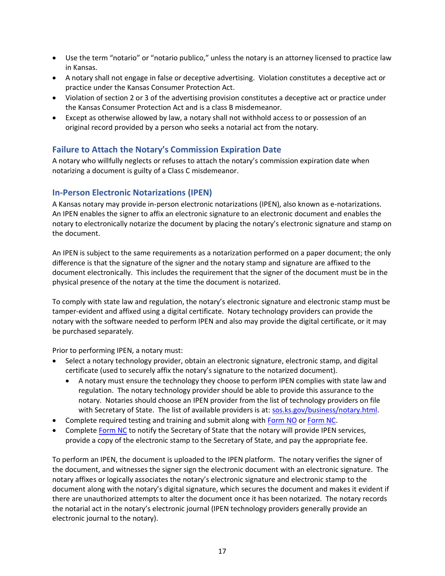- Use the term "notario" or "notario publico," unless the notary is an attorney licensed to practice law in Kansas.
- A notary shall not engage in false or deceptive advertising. Violation constitutes a deceptive act or practice under the Kansas Consumer Protection Act.
- Violation of section 2 or 3 of the advertising provision constitutes a deceptive act or practice under the Kansas Consumer Protection Act and is a class B misdemeanor.
- Except as otherwise allowed by law, a notary shall not withhold access to or possession of an original record provided by a person who seeks a notarial act from the notary.

#### <span id="page-17-0"></span>**Failure to Attach the Notary's Commission Expiration Date**

A notary who willfully neglects or refuses to attach the notary's commission expiration date when notarizing a document is guilty of a Class C misdemeanor.

#### <span id="page-17-1"></span>**In-Person Electronic Notarizations (IPEN)**

A Kansas notary may provide in-person electronic notarizations (IPEN), also known as e-notarizations. An IPEN enables the signer to affix an electronic signature to an electronic document and enables the notary to electronically notarize the document by placing the notary's electronic signature and stamp on the document.

An IPEN is subject to the same requirements as a notarization performed on a paper document; the only difference is that the signature of the signer and the notary stamp and signature are affixed to the document electronically. This includes the requirement that the signer of the document must be in the physical presence of the notary at the time the document is notarized.

To comply with state law and regulation, the notary's electronic signature and electronic stamp must be tamper-evident and affixed using a digital certificate. Notary technology providers can provide the notary with the software needed to perform IPEN and also may provide the digital certificate, or it may be purchased separately.

Prior to performing IPEN, a notary must:

- Select a notary technology provider, obtain an electronic signature, electronic stamp, and digital certificate (used to securely affix the notary's signature to the notarized document).
	- A notary must ensure the technology they choose to perform IPEN complies with state law and regulation. The notary technology provider should be able to provide this assurance to the notary. Notaries should choose an IPEN provider from the list of technology providers on file with Secretary of State. The list of available providers is at: [sos.ks.gov/business/notary.html.](https://sos.ks.gov/business/notary.html)
- Complete required testing and training and submit along with [Form NO](https://sos.ks.gov/business/NO-2022.pdf) or [Form NC.](https://sos.ks.gov/business/NC-2022.pdf)
- Complete [Form NC](https://sos.ks.gov/business/NC-2022.pdf) to notify the Secretary of State that the notary will provide IPEN services, provide a copy of the electronic stamp to the Secretary of State, and pay the appropriate fee.

To perform an IPEN, the document is uploaded to the IPEN platform. The notary verifies the signer of the document, and witnesses the signer sign the electronic document with an electronic signature. The notary affixes or logically associates the notary's electronic signature and electronic stamp to the document along with the notary's digital signature, which secures the document and makes it evident if there are unauthorized attempts to alter the document once it has been notarized. The notary records the notarial act in the notary's electronic journal (IPEN technology providers generally provide an electronic journal to the notary).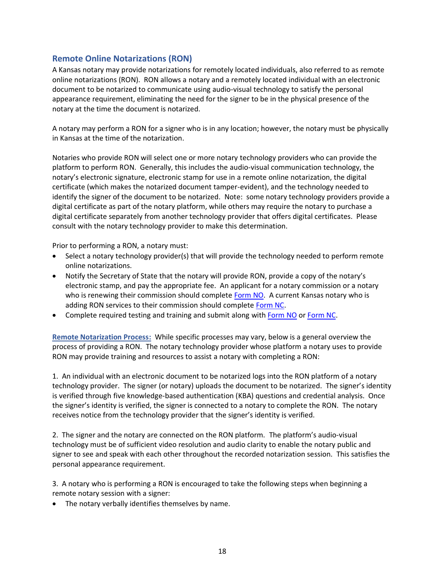#### <span id="page-18-0"></span>**Remote Online Notarizations (RON)**

A Kansas notary may provide notarizations for remotely located individuals, also referred to as remote online notarizations (RON). RON allows a notary and a remotely located individual with an electronic document to be notarized to communicate using audio-visual technology to satisfy the personal appearance requirement, eliminating the need for the signer to be in the physical presence of the notary at the time the document is notarized.

A notary may perform a RON for a signer who is in any location; however, the notary must be physically in Kansas at the time of the notarization.

Notaries who provide RON will select one or more notary technology providers who can provide the platform to perform RON. Generally, this includes the audio-visual communication technology, the notary's electronic signature, electronic stamp for use in a remote online notarization, the digital certificate (which makes the notarized document tamper-evident), and the technology needed to identify the signer of the document to be notarized. Note: some notary technology providers provide a digital certificate as part of the notary platform, while others may require the notary to purchase a digital certificate separately from another technology provider that offers digital certificates. Please consult with the notary technology provider to make this determination.

Prior to performing a RON, a notary must:

- Select a notary technology provider(s) that will provide the technology needed to perform remote online notarizations.
- Notify the Secretary of State that the notary will provide RON, provide a copy of the notary's electronic stamp, and pay the appropriate fee. An applicant for a notary commission or a notary who is renewing their commission should complete [Form NO.](https://sos.ks.gov/business/NO-2022.pdf) A current Kansas notary who is adding RON services to their commission should complete [Form NC.](https://sos.ks.gov/business/NC-2022.pdf)
- Complete required testing and training and submit along with [Form NO](https://sos.ks.gov/business/NO-2022.pdf) or [Form NC.](https://sos.ks.gov/business/NC-2022.pdf)

**Remote Notarization Process:** While specific processes may vary, below is a general overview the process of providing a RON. The notary technology provider whose platform a notary uses to provide RON may provide training and resources to assist a notary with completing a RON:

1. An individual with an electronic document to be notarized logs into the RON platform of a notary technology provider. The signer (or notary) uploads the document to be notarized. The signer's identity is verified through five knowledge-based authentication (KBA) questions and credential analysis. Once the signer's identity is verified, the signer is connected to a notary to complete the RON. The notary receives notice from the technology provider that the signer's identity is verified.

2. The signer and the notary are connected on the RON platform. The platform's audio-visual technology must be of sufficient video resolution and audio clarity to enable the notary public and signer to see and speak with each other throughout the recorded notarization session. This satisfies the personal appearance requirement.

3. A notary who is performing a RON is encouraged to take the following steps when beginning a remote notary session with a signer:

• The notary verbally identifies themselves by name.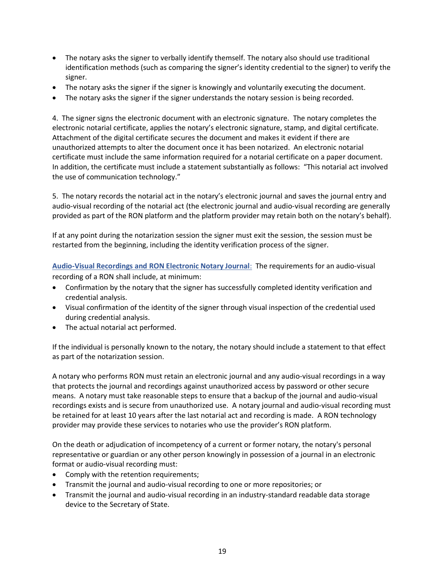- The notary asks the signer to verbally identify themself. The notary also should use traditional identification methods (such as comparing the signer's identity credential to the signer) to verify the signer.
- The notary asks the signer if the signer is knowingly and voluntarily executing the document.
- The notary asks the signer if the signer understands the notary session is being recorded.

4. The signer signs the electronic document with an electronic signature. The notary completes the electronic notarial certificate, applies the notary's electronic signature, stamp, and digital certificate. Attachment of the digital certificate secures the document and makes it evident if there are unauthorized attempts to alter the document once it has been notarized. An electronic notarial certificate must include the same information required for a notarial certificate on a paper document. In addition, the certificate must include a statement substantially as follows: "This notarial act involved the use of communication technology."

5. The notary records the notarial act in the notary's electronic journal and saves the journal entry and audio-visual recording of the notarial act (the electronic journal and audio-visual recording are generally provided as part of the RON platform and the platform provider may retain both on the notary's behalf).

If at any point during the notarization session the signer must exit the session, the session must be restarted from the beginning, including the identity verification process of the signer.

**Audio-Visual Recordings and RON Electronic Notary Journal**: The requirements for an audio-visual recording of a RON shall include, at minimum:

- Confirmation by the notary that the signer has successfully completed identity verification and credential analysis.
- Visual confirmation of the identity of the signer through visual inspection of the credential used during credential analysis.
- The actual notarial act performed.

If the individual is personally known to the notary, the notary should include a statement to that effect as part of the notarization session.

A notary who performs RON must retain an electronic journal and any audio-visual recordings in a way that protects the journal and recordings against unauthorized access by password or other secure means. A notary must take reasonable steps to ensure that a backup of the journal and audio-visual recordings exists and is secure from unauthorized use. A notary journal and audio-visual recording must be retained for at least 10 years after the last notarial act and recording is made. A RON technology provider may provide these services to notaries who use the provider's RON platform.

On the death or adjudication of incompetency of a current or former notary, the notary's personal representative or guardian or any other person knowingly in possession of a journal in an electronic format or audio-visual recording must:

- Comply with the retention requirements;
- Transmit the journal and audio-visual recording to one or more repositories; or
- Transmit the journal and audio-visual recording in an industry-standard readable data storage device to the Secretary of State.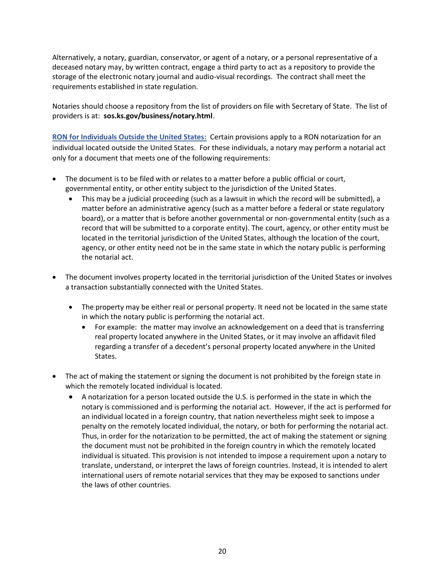Alternatively, a notary, guardian, conservator, or agent of a notary, or a personal representative of a deceased notary may, by written contract, engage a third party to act as a repository to provide the storage of the electronic notary journal and audio-visual recordings. The contract shall meet the requirements established in state regulation.

Notaries should choose a repository from the list of providers on file with Secretary of State. The list of providers is at: **sos.ks.gov/business/notary.html**.

**RON for Individuals Outside the United States:** Certain provisions apply to a RON notarization for an individual located outside the United States. For these individuals, a notary may perform a notarial act only for a document that meets one of the following requirements:

- The document is to be filed with or relates to a matter before a public official or court, governmental entity, or other entity subject to the jurisdiction of the United States.
	- This may be a judicial proceeding (such as a lawsuit in which the record will be submitted), a matter before an administrative agency (such as a matter before a federal or state regulatory board), or a matter that is before another governmental or non-governmental entity (such as a record that will be submitted to a corporate entity). The court, agency, or other entity must be located in the territorial jurisdiction of the United States, although the location of the court, agency, or other entity need not be in the same state in which the notary public is performing the notarial act.
- The document involves property located in the territorial jurisdiction of the United States or involves a transaction substantially connected with the United States.
	- The property may be either real or personal property. It need not be located in the same state in which the notary public is performing the notarial act.
		- For example: the matter may involve an acknowledgement on a deed that is transferring real property located anywhere in the United States, or it may involve an affidavit filed regarding a transfer of a decedent's personal property located anywhere in the United States.
- The act of making the statement or signing the document is not prohibited by the foreign state in which the remotely located individual is located.
	- A notarization for a person located outside the U.S. is performed in the state in which the notary is commissioned and is performing the notarial act. However, if the act is performed for an individual located in a foreign country, that nation nevertheless might seek to impose a penalty on the remotely located individual, the notary, or both for performing the notarial act. Thus, in order for the notarization to be permitted, the act of making the statement or signing the document must not be prohibited in the foreign country in which the remotely located individual is situated. This provision is not intended to impose a requirement upon a notary to translate, understand, or interpret the laws of foreign countries. Instead, it is intended to alert international users of remote notarial services that they may be exposed to sanctions under the laws of other countries.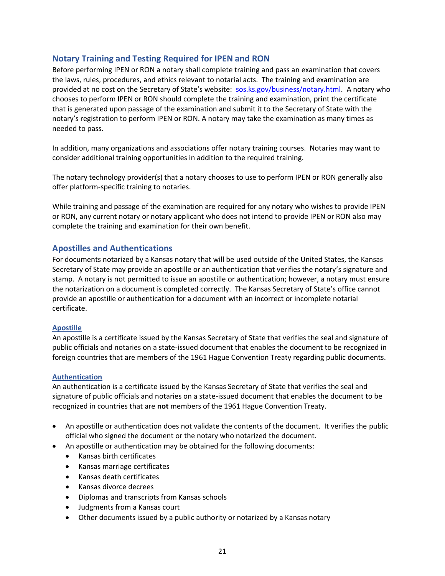#### <span id="page-21-0"></span>**Notary Training and Testing Required for IPEN and RON**

Before performing IPEN or RON a notary shall complete training and pass an examination that covers the laws, rules, procedures, and ethics relevant to notarial acts. The training and examination are provided at no cost on the Secretary of State's website: [sos.ks.gov/business/notary.html.](https://sos.ks.gov/business/notary.html) A notary who chooses to perform IPEN or RON should complete the training and examination, print the certificate that is generated upon passage of the examination and submit it to the Secretary of State with the notary's registration to perform IPEN or RON. A notary may take the examination as many times as needed to pass.

In addition, many organizations and associations offer notary training courses. Notaries may want to consider additional training opportunities in addition to the required training.

The notary technology provider(s) that a notary chooses to use to perform IPEN or RON generally also offer platform-specific training to notaries.

While training and passage of the examination are required for any notary who wishes to provide IPEN or RON, any current notary or notary applicant who does not intend to provide IPEN or RON also may complete the training and examination for their own benefit.

#### <span id="page-21-1"></span>**Apostilles and Authentications**

For documents notarized by a Kansas notary that will be used outside of the United States, the Kansas Secretary of State may provide an apostille or an authentication that verifies the notary's signature and stamp. A notary is not permitted to issue an apostille or authentication; however, a notary must ensure the notarization on a document is completed correctly. The Kansas Secretary of State's office cannot provide an apostille or authentication for a document with an incorrect or incomplete notarial certificate.

#### **Apostille**

An apostille is a certificate issued by the Kansas Secretary of State that verifies the seal and signature of public officials and notaries on a state-issued document that enables the document to be recognized in foreign countries that are members of the 1961 Hague Convention Treaty regarding public documents.

#### **Authentication**

An authentication is a certificate issued by the Kansas Secretary of State that verifies the seal and signature of public officials and notaries on a state-issued document that enables the document to be recognized in countries that are **not** members of the 1961 Hague Convention Treaty.

- An apostille or authentication does not validate the contents of the document. It verifies the public official who signed the document or the notary who notarized the document.
- An apostille or authentication may be obtained for the following documents:
	- Kansas birth certificates
	- Kansas marriage certificates
	- Kansas death certificates
	- Kansas divorce decrees
	- Diplomas and transcripts from Kansas schools
	- Judgments from a Kansas court
	- Other documents issued by a public authority or notarized by a Kansas notary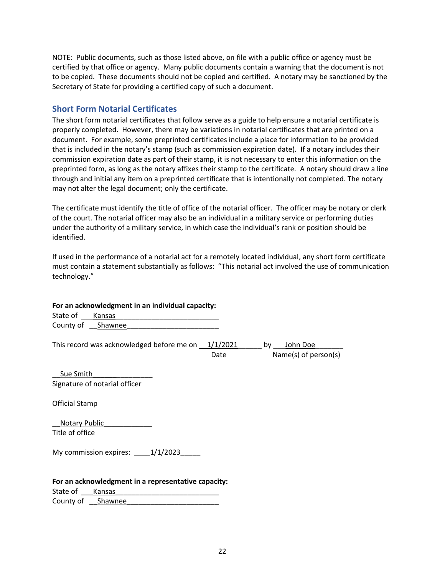NOTE: Public documents, such as those listed above, on file with a public office or agency must be certified by that office or agency. Many public documents contain a warning that the document is not to be copied. These documents should not be copied and certified. A notary may be sanctioned by the Secretary of State for providing a certified copy of such a document.

#### <span id="page-22-0"></span>**Short Form Notarial Certificates**

The short form notarial certificates that follow serve as a guide to help ensure a notarial certificate is properly completed. However, there may be variations in notarial certificates that are printed on a document. For example, some preprinted certificates include a place for information to be provided that is included in the notary's stamp (such as commission expiration date). If a notary includes their commission expiration date as part of their stamp, it is not necessary to enter this information on the preprinted form, as long as the notary affixes their stamp to the certificate. A notary should draw a line through and initial any item on a preprinted certificate that is intentionally not completed. The notary may not alter the legal document; only the certificate.

The certificate must identify the title of office of the notarial officer. The officer may be notary or clerk of the court. The notarial officer may also be an individual in a military service or performing duties under the authority of a military service, in which case the individual's rank or position should be identified.

If used in the performance of a notarial act for a remotely located individual, any short form certificate must contain a statement substantially as follows: "This notarial act involved the use of communication technology."

| For an acknowledgment in an individual capacity:             |      |                                        |
|--------------------------------------------------------------|------|----------------------------------------|
| State of<br>Kansas                                           |      |                                        |
| County of ___ Shawnee                                        |      |                                        |
| This record was acknowledged before me on $\frac{1}{1/2021}$ | Date | John Doe<br>by<br>Name(s) of person(s) |
| Sue Smith                                                    |      |                                        |
| Signature of notarial officer                                |      |                                        |
| <b>Official Stamp</b>                                        |      |                                        |
| <b>Notary Public</b>                                         |      |                                        |
| Title of office                                              |      |                                        |
| My commission expires: $\qquad 1/1/2023$                     |      |                                        |
| For an acknowledgment in a representative capacity:          |      |                                        |
| State of<br>Kansas                                           |      |                                        |
| County of<br>Shawnee                                         |      |                                        |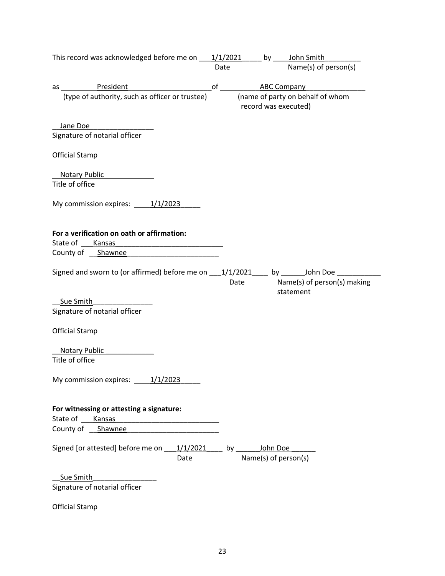|                        | This record was acknowledged before me on ____1/1/2021 _____ by _____John Smith       |      |      |                      |                                          |
|------------------------|---------------------------------------------------------------------------------------|------|------|----------------------|------------------------------------------|
|                        |                                                                                       |      | Date |                      | Name(s) of person(s)                     |
|                        |                                                                                       |      |      |                      |                                          |
|                        | as ______________President                                                            |      |      |                      |                                          |
|                        | (type of authority, such as officer or trustee)                                       |      |      |                      | (name of party on behalf of whom         |
|                        |                                                                                       |      |      | record was executed) |                                          |
|                        |                                                                                       |      |      |                      |                                          |
| Jane Doe               |                                                                                       |      |      |                      |                                          |
|                        | Signature of notarial officer                                                         |      |      |                      |                                          |
|                        |                                                                                       |      |      |                      |                                          |
| <b>Official Stamp</b>  |                                                                                       |      |      |                      |                                          |
|                        | Notary Public                                                                         |      |      |                      |                                          |
| Title of office        |                                                                                       |      |      |                      |                                          |
|                        |                                                                                       |      |      |                      |                                          |
|                        | My commission expires: $\underline{\hspace{1cm}1/1/2023}$                             |      |      |                      |                                          |
|                        |                                                                                       |      |      |                      |                                          |
|                        |                                                                                       |      |      |                      |                                          |
|                        | For a verification on oath or affirmation:                                            |      |      |                      |                                          |
| State of ______ Kansas |                                                                                       |      |      |                      |                                          |
|                        | County of Shawnee                                                                     |      |      |                      |                                          |
|                        |                                                                                       |      |      |                      |                                          |
|                        |                                                                                       |      |      |                      |                                          |
|                        | Signed and sworn to (or affirmed) before me on $\qquad 1/1/2021$ by $\qquad$ John Doe |      |      |                      |                                          |
|                        |                                                                                       |      |      | Date                 | Name(s) of person(s) making<br>statement |
|                        |                                                                                       |      |      |                      |                                          |
| Sue Smith              |                                                                                       |      |      |                      |                                          |
|                        | Signature of notarial officer                                                         |      |      |                      |                                          |
|                        |                                                                                       |      |      |                      |                                          |
| <b>Official Stamp</b>  |                                                                                       |      |      |                      |                                          |
|                        |                                                                                       |      |      |                      |                                          |
|                        | Notary Public                                                                         |      |      |                      |                                          |
| Title of office        |                                                                                       |      |      |                      |                                          |
|                        |                                                                                       |      |      |                      |                                          |
|                        | My commission expires: 1/1/2023                                                       |      |      |                      |                                          |
|                        |                                                                                       |      |      |                      |                                          |
|                        |                                                                                       |      |      |                      |                                          |
|                        | For witnessing or attesting a signature:                                              |      |      |                      |                                          |
| State of Kansas        |                                                                                       |      |      |                      |                                          |
|                        | County of __ Shawnee                                                                  |      |      |                      |                                          |
|                        |                                                                                       |      |      |                      |                                          |
|                        |                                                                                       |      |      |                      |                                          |
|                        | Signed [or attested] before me on _____1/1/2021_____ by ________ John Doe             |      |      |                      |                                          |
|                        |                                                                                       | Date |      | Name(s) of person(s) |                                          |
|                        |                                                                                       |      |      |                      |                                          |
| Sue Smith              |                                                                                       |      |      |                      |                                          |
|                        | Signature of notarial officer                                                         |      |      |                      |                                          |
|                        |                                                                                       |      |      |                      |                                          |

Official Stamp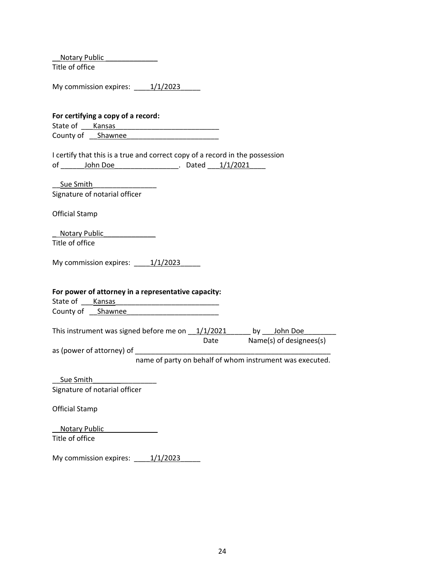\_\_Notary Public \_\_\_\_\_\_\_\_\_\_\_\_\_ Title of office

|  | My commission expires: |  |  | 1/1/2023 |
|--|------------------------|--|--|----------|
|--|------------------------|--|--|----------|

| For certifying a copy of a record:                                              |  |                                                          |
|---------------------------------------------------------------------------------|--|----------------------------------------------------------|
| State of Kansas<br><u> 1980 - Jan James James Barbara, martxa eta idazlea (</u> |  |                                                          |
| County of Shawnee                                                               |  |                                                          |
|                                                                                 |  |                                                          |
| I certify that this is a true and correct copy of a record in the possession    |  |                                                          |
|                                                                                 |  |                                                          |
|                                                                                 |  |                                                          |
| Sue Smith                                                                       |  |                                                          |
| Signature of notarial officer                                                   |  |                                                          |
| <b>Official Stamp</b>                                                           |  |                                                          |
| Notary Public                                                                   |  |                                                          |
| Title of office                                                                 |  |                                                          |
|                                                                                 |  |                                                          |
| My commission expires: $\underline{\hspace{1cm}1/1/2023}$                       |  |                                                          |
|                                                                                 |  |                                                          |
|                                                                                 |  |                                                          |
| For power of attorney in a representative capacity:                             |  |                                                          |
|                                                                                 |  |                                                          |
| County of Shawnee                                                               |  |                                                          |
|                                                                                 |  |                                                          |
| This instrument was signed before me on 1/1/2021 _____ by __ John Doe           |  | Date Name(s) of designees(s)                             |
|                                                                                 |  |                                                          |
|                                                                                 |  | name of party on behalf of whom instrument was executed. |
|                                                                                 |  |                                                          |
| Sue Smith                                                                       |  |                                                          |
| Signature of notarial officer                                                   |  |                                                          |
|                                                                                 |  |                                                          |
| <b>Official Stamp</b>                                                           |  |                                                          |
| Notary Public                                                                   |  |                                                          |
| Title of office                                                                 |  |                                                          |
|                                                                                 |  |                                                          |

My commission expires: \_\_\_\_\_1/1/2023\_\_\_\_\_\_